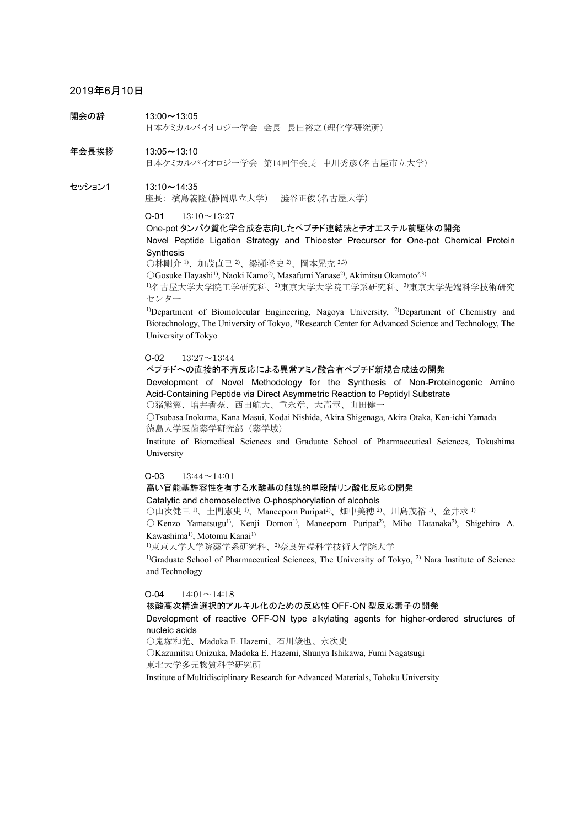# 2019年6月10日

開会の辞 13:00~13:05 日本ケミカルバイオロジー学会 会長 長田裕之(理化学研究所)

年会長挨拶 13:05~13:10 日本ケミカルバイオロジー学会 第14回年会長 中川秀彦(名古屋市立大学)

セッション1 13:10~14:35 座長: 濱島義隆(静岡県立大学) 澁谷正俊(名古屋大学)

 $O-01$  13:10 $\sim$ 13:27

One-pot タンパク質化学合成を志向したペプチド連結法とチオエステル前駆体の開発 Novel Peptide Ligation Strategy and Thioester Precursor for One-pot Chemical Protein Synthesis

○林剛介 1)、加茂直己 2)、梁瀬将史 2)、岡本晃充 2,3)

○Gosuke Hayashi1), Naoki Kamo2), Masafumi Yanase2), Akimitsu Okamoto2,3)

1)名古屋大学大学院工学研究科、2)東京大学大学院工学系研究科、3)東京大学先端科学技術研究 センター

1)Department of Biomolecular Engineering, Nagoya University, 2)Department of Chemistry and Biotechnology, The University of Tokyo, 3)Research Center for Advanced Science and Technology, The University of Tokyo

#### $O-02$  13:27 $\sim$ 13:44

ペプチドへの直接的不斉反応による異常アミノ酸含有ペプチド新規合成法の開発

Development of Novel Methodology for the Synthesis of Non-Proteinogenic Amino Acid-Containing Peptide via Direct Asymmetric Reaction to Peptidyl Substrate

○猪熊翼、増井香奈、西田航大、重永章、大髙章、山田健一

○Tsubasa Inokuma, Kana Masui, Kodai Nishida, Akira Shigenaga, Akira Otaka, Ken-ichi Yamada 徳島大学医歯薬学研究部(薬学域)

Institute of Biomedical Sciences and Graduate School of Pharmaceutical Sciences, Tokushima University

## O-03 13:44~14:01

## 高い官能基許容性を有する水酸基の触媒的単段階リン酸化反応の開発

Catalytic and chemoselective *O*-phosphorylation of alcohols

○山次健三 1)、土門憲史 1)、Maneeporn Puripat2)、畑中美穂 2)、川島茂裕 1)、金井求 1)

 $\bigcirc$  Kenzo Yamatsugu<sup>1)</sup>, Kenji Domon<sup>1)</sup>, Maneeporn Puripat<sup>2)</sup>, Miho Hatanaka<sup>2</sup>), Shigehiro A. Kawashima<sup>1)</sup>, Motomu Kanai<sup>1)</sup>

1)東京大学大学院薬学系研究科、2)奈良先端科学技術大学院大学

<sup>1)</sup>Graduate School of Pharmaceutical Sciences, The University of Tokyo,  $^{2}$ ) Nara Institute of Science and Technology

## $O-04$  14:01 $\sim$ 14:18

核酸高次構造選択的アルキル化のための反応性 OFF-ON 型反応素子の開発

Development of reactive OFF-ON type alkylating agents for higher-ordered structures of nucleic acids

○鬼塚和光、Madoka E. Hazemi、石川竣也、永次史

○Kazumitsu Onizuka, Madoka E. Hazemi, Shunya Ishikawa, Fumi Nagatsugi 東北大学多元物質科学研究所

Institute of Multidisciplinary Research for Advanced Materials, Tohoku University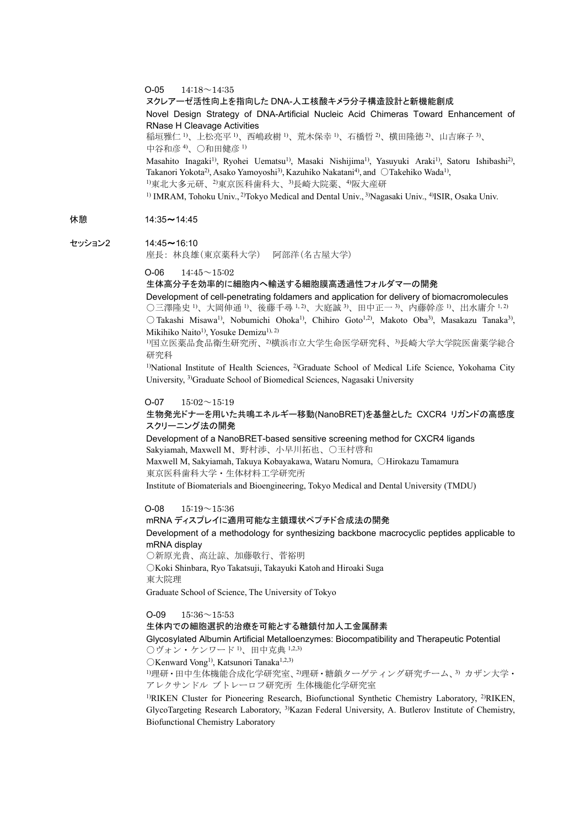#### $O-05$  14:18 $\sim$ 14:35

#### ヌクレアーゼ活性向上を指向した DNA-人工核酸キメラ分子構造設計と新機能創成

Novel Design Strategy of DNA-Artificial Nucleic Acid Chimeras Toward Enhancement of RNase H Cleavage Activities

稲垣雅仁 1)、上松亮平 1)、西嶋政樹 1)、荒木保幸 1)、石橋哲 2)、横田隆徳 2)、山吉麻子 3)、 中谷和彦 4)、○和田健彦 1)

Masahito Inagaki<sup>1)</sup>, Ryohei Uematsu<sup>1)</sup>, Masaki Nishijima<sup>1)</sup>, Yasuyuki Araki<sup>1)</sup>, Satoru Ishibashi<sup>2)</sup>, Takanori Yokota<sup>2</sup>), Asako Yamoyoshi<sup>3)</sup>, Kazuhiko Nakatani<sup>4)</sup>, and ○Takehiko Wada<sup>1)</sup>, 1)東北大多元研、2)東京医科歯科大、3)長崎大院薬、4)阪大産研

<sup>1)</sup> IMRAM, Tohoku Univ., <sup>2)</sup>Tokyo Medical and Dental Univ., <sup>3)</sup>Nagasaki Univ., <sup>4)</sup>ISIR, Osaka Univ.

# 休憩 14:35~14:45

#### セッション2 14:45~16:10

座長: 林良雄(東京薬科大学) 阿部洋(名古屋大学)

#### $O-06$  14:45 $\sim$ 15:02

## 生体高分子を効率的に細胞内へ輸送する細胞膜高透過性フォルダマーの開発

Development of cell-penetrating foldamers and application for delivery of biomacromolecules ○三澤隆史 <sup>1</sup>、大岡伸通 <sup>1</sup>、後藤千尋 <sup>1, 2</sup>、大庭誠 <sup>3</sup>、田中正一 <sup>3</sup>、内藤幹彦 <sup>1</sup>、出水庸介 <sup>1, 2)</sup>  $\bigcirc$  Takashi Misawa<sup>1)</sup>, Nobumichi Ohoka<sup>1)</sup>, Chihiro Goto<sup>1,2)</sup>, Makoto Oba<sup>3)</sup>, Masakazu Tanaka<sup>3)</sup>, Mikihiko Naito<sup>1)</sup>, Yosuke Demizu<sup>1), 2)</sup>

1)国立医薬品食品衛生研究所、2)横浜市立大学生命医学研究科、3)長崎大学大学院医歯薬学総合 研究科

<sup>1)</sup>National Institute of Health Sciences, <sup>2)</sup>Graduate School of Medical Life Science, Yokohama City University, 3)Graduate School of Biomedical Sciences, Nagasaki University

#### $O-07$   $15:02 \sim 15:19$

## 生物発光ドナーを用いた共鳴エネルギー移動(NanoBRET)を基盤とした CXCR4 リガンドの高感度 スクリーニング法の開発

Development of a NanoBRET-based sensitive screening method for CXCR4 ligands Sakyiamah, Maxwell M、野村渉、小早川拓也、○玉村啓和

Maxwell M, Sakyiamah, Takuya Kobayakawa, Wataru Nomura, ○Hirokazu Tamamura 東京医科歯科大学・生体材料工学研究所

Institute of Biomaterials and Bioengineering, Tokyo Medical and Dental University (TMDU)

#### $O-08$  15:19 $\sim$ 15:36

# mRNA ディスプレイに適用可能な主鎖環状ペプチド合成法の開発

# Development of a methodology for synthesizing backbone macrocyclic peptides applicable to mRNA display

○新原光貴、高辻諒、加藤敬行、菅裕明

○Koki Shinbara, Ryo Takatsuji, Takayuki Katoh and Hiroaki Suga 東大院理

Graduate School of Science, The University of Tokyo

#### $O-09$  15:36 $\sim$ 15:53

#### 生体内での細胞選択的治療を可能とする糖鎖付加人工金属酵素

## Glycosylated Albumin Artificial Metalloenzymes: Biocompatibility and Therapeutic Potential  $\bigcirc$ ヴォン・ケンワード<sup>1</sup>)、田中克典<sup>1,2,3)</sup>

OKenward Vong<sup>1)</sup>, Katsunori Tanaka<sup>1,2,3)</sup>

1)理研・田中生体機能合成化学研究室、2)理研・糖鎖ターゲティング研究チーム、3) カザン大学・ アレクサンドル ブトレーロフ研究所 生体機能化学研究室

<sup>1)</sup>RIKEN Cluster for Pioneering Research, Biofunctional Synthetic Chemistry Laboratory, <sup>2)</sup>RIKEN, GlycoTargeting Research Laboratory, 3)Kazan Federal University, A. Butlerov Institute of Chemistry, Biofunctional Chemistry Laboratory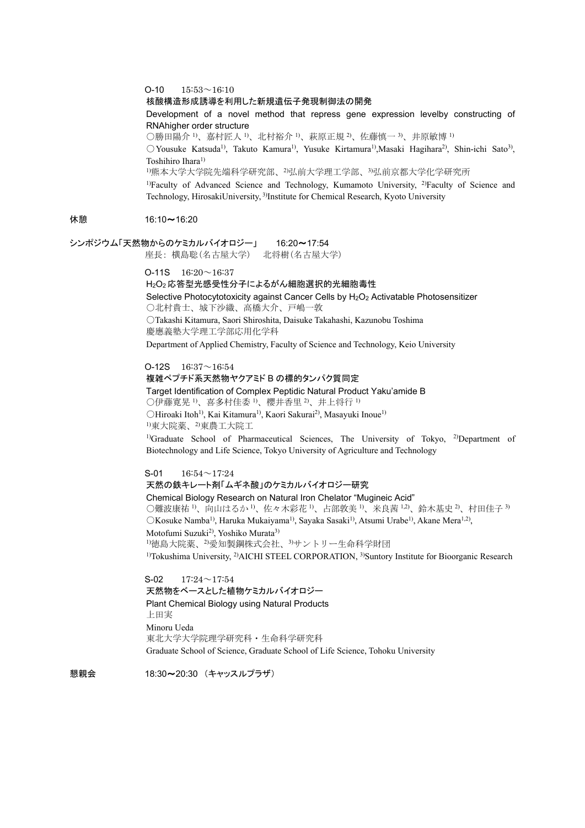$O-10$   $15:53 \sim 16:10$ 

#### 核酸構造形成誘導を利用した新規遺伝子発現制御法の開発

Development of a novel method that repress gene expression levelby constructing of RNAhigher order structure

○勝田陽介 1)、嘉村匠人 1)、北村裕介 1)、萩原正規 2)、佐藤慎一 3)、井原敏博 1)

○Yousuke Katsuda1), Takuto Kamura1), Yusuke Kirtamura1),Masaki Hagihara2), Shin-ichi Sato3), Toshihiro Ihara1)

1)熊本大学大学院先端科学研究部、2)弘前大学理工学部、3)弘前京都大学化学研究所

1)Faculty of Advanced Science and Technology, Kumamoto University, 2)Faculty of Science and Technology, HirosakiUniversity, <sup>3)</sup>Institute for Chemical Research, Kyoto University

## 休憩 16:10~16:20

シンポジウム「天然物からのケミカルバイオロジー」 16:20~17:54

座長: 横島聡(名古屋大学) 北将樹(名古屋大学)

 $O-11S$   $16:20 \sim 16:37$ 

H2O2 応答型光感受性分子によるがん細胞選択的光細胞毒性 Selective Photocytotoxicity against Cancer Cells by H<sub>2</sub>O<sub>2</sub> Activatable Photosensitizer ○北村貴士、城下沙織、高橋大介、戸嶋一敦 ○Takashi Kitamura, Saori Shiroshita, Daisuke Takahashi, Kazunobu Toshima 慶應義塾大学理工学部応用化学科

Department of Applied Chemistry, Faculty of Science and Technology, Keio University

O-12S  $16:37 \sim 16:54$ 複雑ペプチド系天然物ヤクアミド B の標的タンパク質同定 Target Identification of Complex Peptidic Natural Product Yaku'amide B ○伊藤寛晃 1)、喜多村佳委 1)、櫻井香里 2)、井上将行 1) ○Hiroaki Itoh1), Kai Kitamura1), Kaori Sakurai2), Masayuki Inoue1) 1)東大院薬、2)東農工大院工

<sup>1)</sup>Graduate School of Pharmaceutical Sciences, The University of Tokyo, <sup>2)</sup>Department of Biotechnology and Life Science, Tokyo University of Agriculture and Technology

 $S-01$  16:54 $\sim$ 17:24 天然の鉄キレート剤「ムギネ酸」のケミカルバイオロジー研究 Chemical Biology Research on Natural Iron Chelator "Mugineic Acid" ○難波康祐 <sup>1</sup>、向山はるか <sup>1</sup>、佐々木彩花 <sup>1</sup>、占部敦美 <sup>1</sup>、米良茜 <sup>1,2</sup>、鈴木基史 <sup>2</sup>、村田佳子 3) OKosuke Namba<sup>1)</sup>, Haruka Mukaiyama<sup>1)</sup>, Sayaka Sasaki<sup>1)</sup>, Atsumi Urabe<sup>1)</sup>, Akane Mera<sup>1,2)</sup>, Motofumi Suzuki<sup>2)</sup>, Yoshiko Murata<sup>3)</sup> 1)徳島大院薬、2)愛知製鋼株式会社、3)サントリー生命科学財団 <sup>1)</sup>Tokushima University, <sup>2)</sup>AICHI STEEL CORPORATION, <sup>3)</sup>Suntory Institute for Bioorganic Research

 $S-02$  17:24 $\sim$ 17:54 天然物をベースとした植物ケミカルバイオロジー Plant Chemical Biology using Natural Products 上田実 Minoru Ueda 東北大学大学院理学研究科・生命科学研究科 Graduate School of Science, Graduate School of Life Science, Tohoku University

懇親会 18:30~20:30 (キャッスルプラザ)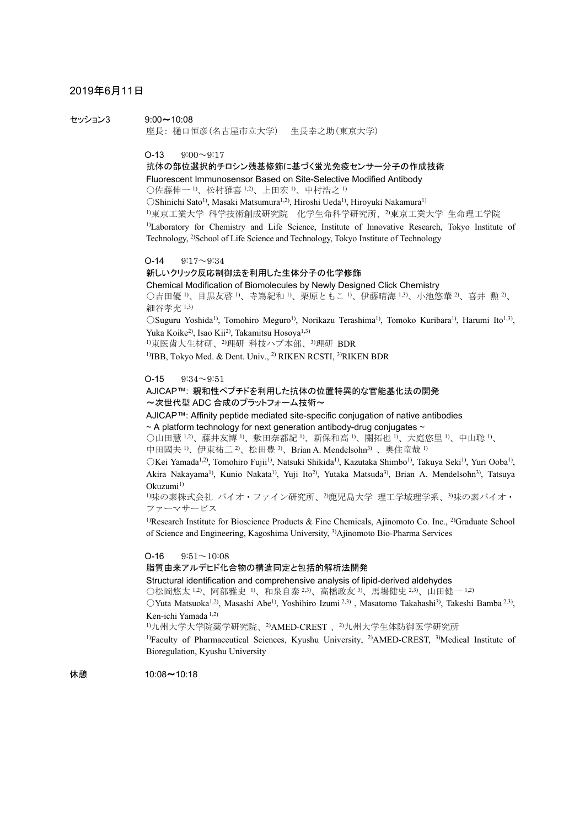# 2019年6月11日

セッション3 9:00~10:08 座長: 樋口恒彦(名古屋市立大学) 生長幸之助(東京大学)

 $O-13$   $9:00 \sim 9:17$ 

抗体の部位選択的チロシン残基修飾に基づく蛍光免疫センサー分子の作成技術 Fluorescent Immunosensor Based on Site-Selective Modified Antibody ○佐藤伸一 1)、松村雅喜 1,2)、上田宏 1)、中村浩之 1) ○Shinichi Sato1), Masaki Matsumura1,2), Hiroshi Ueda1), Hiroyuki Nakamura1) 1)東京工業大学 科学技術創成研究院 化学生命科学研究所、2)東京工業大学 生命理工学院 1)Laboratory for Chemistry and Life Science, Institute of Innovative Research, Tokyo Institute of Technology, 2)School of Life Science and Technology, Tokyo Institute of Technology

 $O-14$   $9:17 \sim 9:34$ 新しいクリック反応制御法を利用した生体分子の化学修飾 Chemical Modification of Biomolecules by Newly Designed Click Chemistry ○吉田優 <sup>1</sup>、目黒友啓 <sup>1</sup>、寺嶌紀和 <sup>1</sup>、栗原ともこ <sup>1</sup>、伊藤晴海 <sup>1,3</sup>、小池悠華 <sup>2</sup>、喜井 勲 <sup>2)</sup>、 細谷孝充 1,3) ○Suguru Yoshida1), Tomohiro Meguro1), Norikazu Terashima1), Tomoko Kuribara1), Harumi Ito1,3), Yuka Koike<sup>2)</sup>, Isao Kii<sup>2)</sup>, Takamitsu Hosova<sup>1,3)</sup> 1)東医歯大生材研、2)理研 科技ハブ本部、3)理研 BDR

<sup>1)</sup>IBB, Tokyo Med. & Dent. Univ., <sup>2)</sup> RIKEN RCSTI, <sup>3)</sup>RIKEN BDR

### $O-15$   $9:34 \sim 9:51$

## AJICAP™: 親和性ペプチドを利用した抗体の位置特異的な官能基化法の開発 ~次世代型 ADC 合成のプラットフォーム技術~

AJICAP™: Affinity peptide mediated site-specific conjugation of native antibodies

 $\sim$  A platform technology for next generation antibody-drug conjugates  $\sim$ 

○山田慧 <sup>1,2)</sup>、藤井友博 <sup>1)</sup>、敷田奈都紀 <sup>1)</sup>、新保和高 <sup>1)</sup>、關拓也 <sup>1)</sup>、大庭悠里 <sup>1)</sup>、中山聡 <sup>1)</sup>、

中田國夫<sup>1)</sup>、伊東祐二<sup>2)</sup>、松田豊<sup>3)</sup>、Brian A. Mendelsohn<sup>3)</sup>、奥住竜哉<sup>1)</sup>

○Kei Yamada1,2), Tomohiro Fujii1), Natsuki Shikida1), Kazutaka Shimbo1), Takuya Seki1), Yuri Ooba1), Akira Nakayama<sup>1)</sup>, Kunio Nakata<sup>1)</sup>, Yuji Ito<sup>2)</sup>, Yutaka Matsuda<sup>3)</sup>, Brian A. Mendelsohn<sup>3)</sup>, Tatsuya  $Okuzumi<sup>1</sup>$ 

1)味の素株式会社 バイオ・ファイン研究所、2)鹿児島大学 理工学域理学系、3)味の素バイオ・ ファーマサービス

<sup>1)</sup>Research Institute for Bioscience Products & Fine Chemicals, Ajinomoto Co. Inc., <sup>2)</sup>Graduate School of Science and Engineering, Kagoshima University, 3)Ajinomoto Bio-Pharma Services

## $O-16$   $9:51 \sim 10:08$

脂質由来アルデヒド化合物の構造同定と包括的解析法開発

Structural identification and comprehensive analysis of lipid-derived aldehydes

○松岡悠太<sup>1,2)</sup>、阿部雅史<sup>1)</sup>、和泉自泰<sup>2,3)</sup>、高橋政友<sup>3)</sup>、馬場健史<sup>2,3)</sup>、山田健一<sup>1,2)</sup>

○Yuta Matsuoka1,2), Masashi Abe1), Yoshihiro Izumi 2,3) , Masatomo Takahashi3), Takeshi Bamba 2,3), Ken-ichi Yamada 1,2)

1)九州大学大学院薬学研究院、2)AMED-CREST 、2)九州大学生体防御医学研究所

<sup>1)</sup>Faculty of Pharmaceutical Sciences, Kyushu University, <sup>2)</sup>AMED-CREST, <sup>3)</sup>Medical Institute of Bioregulation, Kyushu University

休憩 10:08~10:18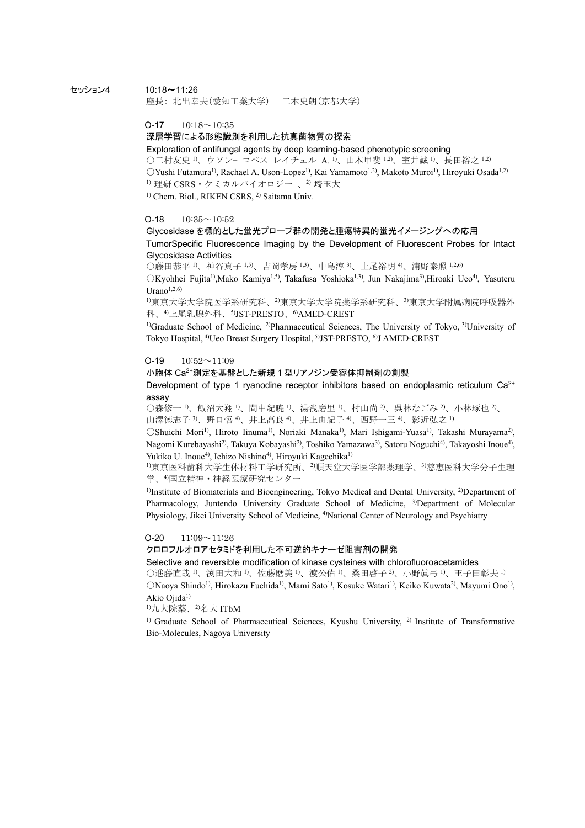## セッション4 10:18~11:26

座長: 北出幸夫(愛知工業大学) 二木史朗(京都大学)

 $O-17$  10:18 $\sim$ 10:35

# 深層学習による形態識別を利用した抗真菌物質の探索

Exploration of antifungal agents by deep learning-based phenotypic screening ○二村友史 1)、ウソン− ロペス レイチェル A. 1)、山本甲斐 1,2)、室井誠 1)、長田裕之 1,2)  $OYushi$  Futamura<sup>1)</sup>, Rachael A. Uson-Lopez<sup>1)</sup>, Kai Yamamoto<sup>1,2)</sup>, Makoto Muroi<sup>1)</sup>, Hiroyuki Osada<sup>1,2)</sup> 1) 理研 CSRS · ケミカルバイオロジー、2) 埼玉大

<sup>1)</sup> Chem. Biol., RIKEN CSRS, <sup>2)</sup> Saitama Univ.

## $O-18$   $10:35 \sim 10:52$

# Glycosidase を標的とした蛍光プローブ群の開発と腫瘍特異的蛍光イメージングへの応用 TumorSpecific Fluorescence Imaging by the Development of Fluorescent Probes for Intact Glycosidase Activities

○藤田恭平 <sup>1</sup>、神谷真子 <sup>1,5</sup>)、吉岡孝房 <sup>1,3</sup>)、中島淳 <sup>3</sup>、上尾裕明 <sup>4</sup>、浦野泰照 <sup>1,2,6)</sup>

 $\triangle$ Kyohhei Fujita<sup>1)</sup>,Mako Kamiya<sup>1,5)</sup>, Takafusa Yoshioka<sup>1,3)</sup>, Jun Nakajima<sup>3</sup>),Hiroaki Ueo<sup>4)</sup>, Yasuteru Urano $1,2,6$ )

1)東京大学大学院医学系研究科、2)東京大学大学院薬学系研究科、3)東京大学附属病院呼吸器外 科、4)上尾乳腺外科、5)JST-PRESTO、6)AMED-CREST

<sup>1)</sup>Graduate School of Medicine, <sup>2)</sup>Pharmaceutical Sciences, The University of Tokyo, <sup>3)</sup>University of Tokyo Hospital, 4)Ueo Breast Surgery Hospital, 5)JST-PRESTO, 6)J AMED-CREST

#### $O-19$   $10:52 \sim 11:09$

## 小胞体 Ca2+測定を基盤とした新規 1 型リアノジン受容体抑制剤の創製

Development of type 1 ryanodine receptor inhibitors based on endoplasmic reticulum  $Ca^{2+}$ assay

○森修一 <sup>1)</sup>、飯沼大翔 <sup>1)</sup>、間中紀暁 <sup>1)</sup>、湯浅磨里 <sup>1)</sup>、村山尚 <sup>2)</sup>、呉林なごみ <sup>2)</sup>、小林琢也 <sup>2)</sup>、 山澤徳志子 3、野口悟 4、井上高良 4、井上由紀子 4、西野一三 4、影近弘之 1)

〇Shuichi Mori1), Hiroto Iinuma1), Noriaki Manaka1), Mari Ishigami-Yuasa1), Takashi Murayama2), Nagomi Kurebayashi2), Takuya Kobayashi2), Toshiko Yamazawa3), Satoru Noguchi4), Takayoshi Inoue4), Yukiko U. Inoue<sup>4)</sup>, Ichizo Nishino<sup>4)</sup>, Hiroyuki Kagechika<sup>1)</sup>

1)東京医科歯科大学生体材料工学研究所、2)順天堂大学医学部薬理学、3)慈恵医科大学分子生理 学、4国立精神・神経医療研究センター

<sup>1)</sup>Institute of Biomaterials and Bioengineering, Tokyo Medical and Dental University, <sup>2)</sup>Department of Pharmacology, Juntendo University Graduate School of Medicine, 3)Department of Molecular Physiology, Jikei University School of Medicine, <sup>4</sup>)National Center of Neurology and Psychiatry

#### $O-20$   $11:09 \sim 11:26$

クロロフルオロアセタミドを利用した不可逆的キナーゼ阻害剤の開発

Selective and reversible modification of kinase cysteines with chlorofluoroacetamides

○進藤直哉 <sup>1</sup>、渕田大和 <sup>1</sup>、佐藤磨美 <sup>1</sup>、渡公佑 <sup>1</sup>、桑田啓子 <sup>2</sup>、小野眞弓 <sup>1</sup>、王子田彰夫 <sup>1)</sup>

○Naoya Shindo1), Hirokazu Fuchida1), Mami Sato1), Kosuke Watari1), Keiko Kuwata2), Mayumi Ono1), Akio Ojida<sup>1)</sup>

 $1)$ 九大院薬、 $2)$ 名大 ITbM

<sup>1)</sup> Graduate School of Pharmaceutical Sciences, Kyushu University, <sup>2)</sup> Institute of Transformative Bio-Molecules, Nagoya University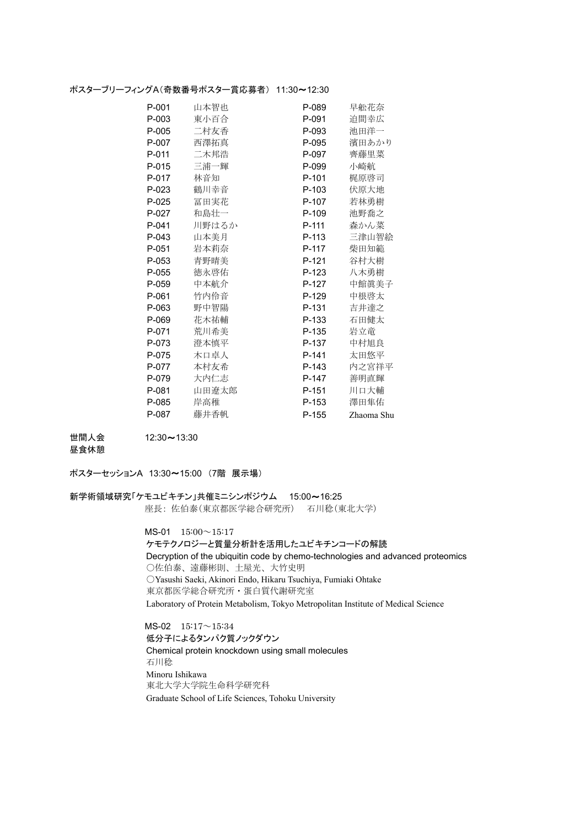## ポスターブリーフィングA(奇数番号ポスター賞応募者) 11:30~12:30

| P-001 | 山本智也  | P-089 | 早舩花奈       |
|-------|-------|-------|------------|
| P-003 | 東小百合  | P-091 | 迫間幸広       |
| P-005 | 二村友香  | P-093 | 池田洋一       |
| P-007 | 西澤拓真  | P-095 | 濱田あかり      |
| P-011 | 二木邦浩  | P-097 | 齊藤里菜       |
| P-015 | 三浦一輝  | P-099 | 小崎航        |
| P-017 | 林音知   | P-101 | 梶原啓司       |
| P-023 | 鶴川幸音  | P-103 | 伏原大地       |
| P-025 | 冨田実花  | P-107 | 若林勇樹       |
| P-027 | 和島壮一  | P-109 | 池野喬之       |
| P-041 | 川野はるか | P-111 | 森かん菜       |
| P-043 | 山本美月  | P-113 | 三津山智絵      |
| P-051 | 岩本莉奈  | P-117 | 柴田知範       |
| P-053 | 青野晴美  | P-121 | 谷村大樹       |
| P-055 | 徳永啓佑  | P-123 | 八木勇樹       |
| P-059 | 中本航介  | P-127 | 中館眞美子      |
| P-061 | 竹内伶音  | P-129 | 中根啓太       |
| P-063 | 野中智陽  | P-131 | 吉井達之       |
| P-069 | 花木祐輔  | P-133 | 石田健太       |
| P-071 | 荒川希美  | P-135 | 岩立竜        |
| P-073 | 澄本慎平  | P-137 | 中村旭良       |
| P-075 | 木口卓人  | P-141 | 太田悠平       |
| P-077 | 本村友希  | P-143 | 内之宮祥平      |
| P-079 | 大内仁志  | P-147 | 善明直輝       |
| P-081 | 山田遼太郎 | P-151 | 川口大輔       |
| P-085 | 岸高稚   | P-153 | 澤田隼佑       |
| P-087 | 藤井香帆  | P-155 | Zhaoma Shu |

世間人会 12:30~13:30

昼食休憩

ポスターセッションA 13:30~15:00 (7階 展示場)

# 新学術領域研究「ケモユビキチン」共催ミニシンポジウム 15:00~16:25

座長: 佐伯泰(東京都医学総合研究所) 石川稔(東北大学)

 MS-01 15:00~15:17 ケモテクノロジーと質量分析計を活用したユビキチンコードの解読 Decryption of the ubiquitin code by chemo-technologies and advanced proteomics ○佐伯泰、遠藤彬則、土屋光、大竹史明 ○Yasushi Saeki, Akinori Endo, Hikaru Tsuchiya, Fumiaki Ohtake 東京都医学総合研究所・蛋白質代謝研究室 Laboratory of Protein Metabolism, Tokyo Metropolitan Institute of Medical Science

 MS-02 15:17~15:34 低分子によるタンパク質ノックダウン Chemical protein knockdown using small molecules 石川稔 Minoru Ishikawa 東北大学大学院生命科学研究科 Graduate School of Life Sciences, Tohoku University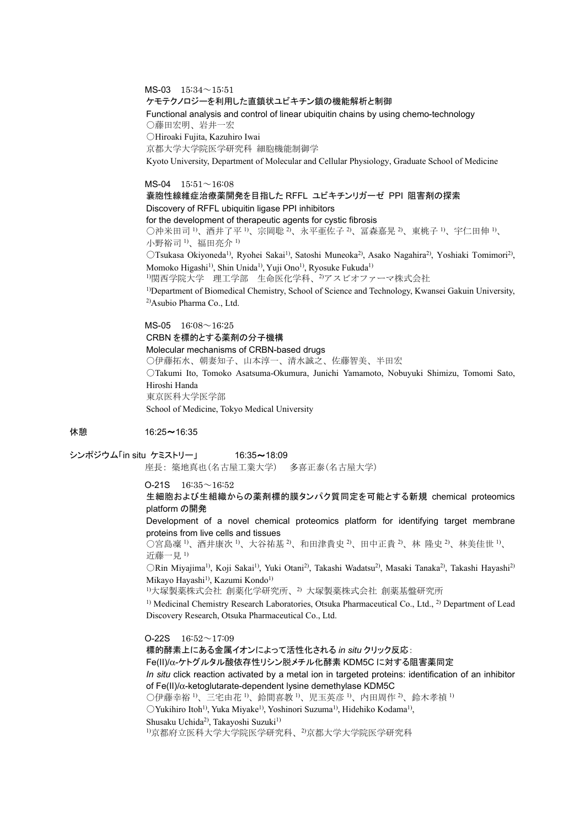MS-03 15:34~15:51

ケモテクノロジーを利用した直鎖状ユビキチン鎖の機能解析と制御

Functional analysis and control of linear ubiquitin chains by using chemo-technology ○藤田宏明、岩井一宏

○Hiroaki Fujita, Kazuhiro Iwai

京都大学大学院医学研究科 細胞機能制御学

Kyoto University, Department of Molecular and Cellular Physiology, Graduate School of Medicine

 $MS-04$  15:51 $\sim$ 16:08

嚢胞性線維症治療薬開発を目指した RFFL ユビキチンリガーゼ PPI 阻害剤の探索 Discovery of RFFL ubiquitin ligase PPI inhibitors

for the development of therapeutic agents for cystic fibrosis

○沖米田司 <sup>1</sup>、酒井了平 <sup>1</sup>、宗岡聡 2、永平亜佐子 <sup>2</sup>、冨森嘉晃 <sup>2</sup>、東桃子 <sup>1</sup>、宇仁田伸 <sup>1</sup>、 小野裕司 1)、福田亮介 1)

〇Tsukasa Okiyoneda1), Ryohei Sakai1), Satoshi Muneoka2), Asako Nagahira2), Yoshiaki Tomimori2), Momoko Higashi<sup>1)</sup>, Shin Unida<sup>1)</sup>, Yuji Ono<sup>1)</sup>, Ryosuke Fukuda<sup>1)</sup>

1)関西学院大学 理工学部 生命医化学科、2)アスビオファーマ株式会社

1)Department of Biomedical Chemistry, School of Science and Technology, Kwansei Gakuin University, 2)Asubio Pharma Co., Ltd.

 MS-05 16:08~16:25 CRBN を標的とする薬剤の分子機構 Molecular mechanisms of CRBN-based drugs ○伊藤拓水、朝妻知子、山本淳一、清水誠之、佐藤智美、半田宏 ○Takumi Ito, Tomoko Asatsuma-Okumura, Junichi Yamamoto, Nobuyuki Shimizu, Tomomi Sato, Hiroshi Handa 東京医科大学医学部

School of Medicine, Tokyo Medical University

休憩 16:25~16:35

シンポジウム「in situ ケミストリー」 16:35~18:09 座長: 築地真也(名古屋工業大学) 多喜正泰(名古屋大学)

 $O-21S$   $16:35 \sim 16:52$ 

生細胞および生組織からの薬剤標的膜タンパク質同定を可能とする新規 chemical proteomics platform の開発

Development of a novel chemical proteomics platform for identifying target membrane proteins from live cells and tissues

○宮島凜 <sup>1)</sup>、酒井康次 <sup>1)</sup>、大谷祐基 <sup>2)</sup>、和田津貴史 <sup>2)</sup>、田中正貴 <sup>2)</sup>、林 隆史 <sup>2)</sup>、林美佳世 <sup>1)</sup>、 近藤一見 1)

○Rin Miyajima1), Koji Sakai1), Yuki Otani2), Takashi Wadatsu2), Masaki Tanaka2), Takashi Hayashi2) Mikayo Hayashi<sup>1)</sup>, Kazumi Kondo<sup>1)</sup>

1)大塚製薬株式会社 創薬化学研究所、2) 大塚製薬株式会社 創薬基盤研究所

<sup>1)</sup> Medicinal Chemistry Research Laboratories, Otsuka Pharmaceutical Co., Ltd., <sup>2)</sup> Department of Lead Discovery Research, Otsuka Pharmaceutical Co., Ltd.

 $O-22S$  16:52 $\sim$ 17:09

標的酵素上にある金属イオンによって活性化される *in situ* クリック反応:

Fe(II)/α-ケトグルタル酸依存性リシン脱メチル化酵素 KDM5C に対する阻害薬同定

*In situ* click reaction activated by a metal ion in targeted proteins: identification of an inhibitor of Fe(II)/α-ketoglutarate-dependent lysine demethylase KDM5C

○伊藤幸裕 1)、三宅由花 1)、鈴間喜教 1)、児玉英彦 1)、内田周作 2)、鈴木孝禎 1)

○Yukihiro Itoh1), Yuka Miyake1), Yoshinori Suzuma1), Hidehiko Kodama1),

Shusaku Uchida<sup>2</sup>), Takayoshi Suzuki<sup>1)</sup>

1)京都府立医科大学大学院医学研究科、2)京都大学大学院医学研究科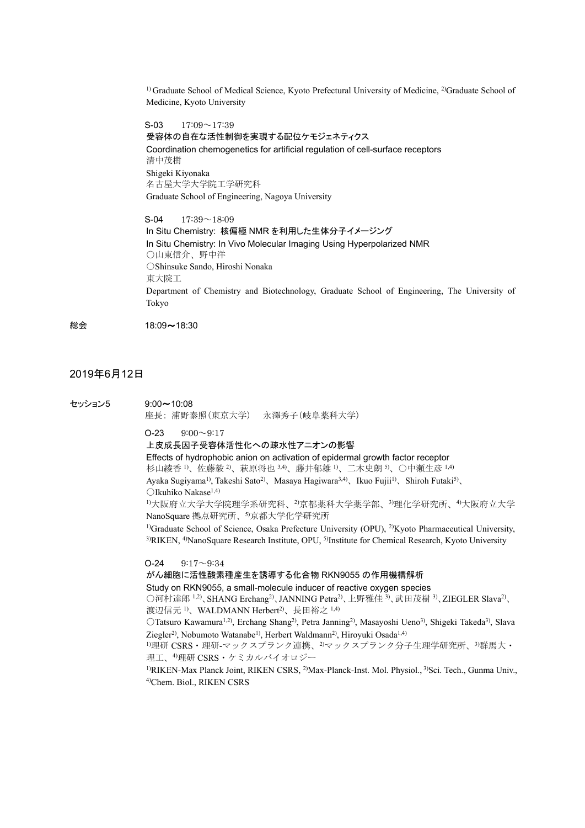<sup>1)</sup> Graduate School of Medical Science, Kyoto Prefectural University of Medicine, <sup>2)</sup>Graduate School of Medicine, Kyoto University

 $S-03$  17:09 $\sim$ 17:39

受容体の自在な活性制御を実現する配位ケモジェネティクス Coordination chemogenetics for artificial regulation of cell-surface receptors 清中茂樹 Shigeki Kiyonaka 名古屋大学大学院工学研究科 Graduate School of Engineering, Nagoya University

S-04 17:39~18:09 In Situ Chemistry: 核偏極 NMR を利用した生体分子イメージング In Situ Chemistry: In Vivo Molecular Imaging Using Hyperpolarized NMR ○山東信介、野中洋 ○Shinsuke Sando, Hiroshi Nonaka 東大院工 Department of Chemistry and Biotechnology, Graduate School of Engineering, The University of Tokyo

総会 18:09~18:30

# 2019年6月12日

セッション5 9:00~10:08

座長: 浦野泰照(東京大学) 永澤秀子(岐阜薬科大学)

 $O-23$   $9:00 \sim 9:17$ 

上皮成長因子受容体活性化への疎水性アニオンの影響

Effects of hydrophobic anion on activation of epidermal growth factor receptor 杉山綾香り、佐藤毅 2)、萩原将也 3,4)、藤井郁雄 り、二木史朗 5、○中瀬生彦 1,4) Ayaka Sugiyama<sup>1)</sup>, Takeshi Sato<sup>2)</sup>, Masaya Hagiwara<sup>3,4)</sup>, Ikuo Fujii<sup>1)</sup>, Shiroh Futaki<sup>5)</sup>, ○Ikuhiko Nakase1,4)

1)大阪府立大学大学院理学系研究科、2)京都薬科大学薬学部、3)理化学研究所、4)大阪府立大学 NanoSquare 拠点研究所、5)京都大学化学研究所

<sup>1)</sup>Graduate School of Science, Osaka Prefecture University (OPU), <sup>2)</sup>Kyoto Pharmaceutical University, <sup>3)</sup>RIKEN, <sup>4)</sup>NanoSquare Research Institute, OPU, <sup>5)</sup>Institute for Chemical Research, Kyoto University

#### $O-24$   $9:17 \sim 9:34$

がん細胞に活性酸素種産生を誘導する化合物 RKN9055 の作用機構解析

Study on RKN9055, a small-molecule inducer of reactive oxygen species

○河村達郎 1,2)、SHANG Erchang<sup>2)</sup>、JANNING Petra<sup>2)</sup>、上野雅佳 <sup>3)</sup>、武田茂樹 <sup>3)</sup>、ZIEGLER Slava<sup>2)</sup>、 渡辺信元<sup>1)</sup>、WALDMANN Herbert<sup>2)</sup>、長田裕之<sup>1,4)</sup>

○Tatsuro Kawamura1,2), Erchang Shang2), Petra Janning2), Masayoshi Ueno3), Shigeki Takeda3), Slava Ziegler<sup>2)</sup>, Nobumoto Watanabe<sup>1)</sup>, Herbert Waldmann<sup>2)</sup>, Hiroyuki Osada<sup>1,4)</sup>

1)理研 CSRS・理研-マックスプランク連携、<sup>2</sup>マックスプランク分子生理学研究所、<sup>3)</sup>群馬大· 理工、4)理研 CSRS・ケミカルバイオロジー

1)RIKEN-Max Planck Joint, RIKEN CSRS, 2)Max-Planck-Inst. Mol. Physiol., 3)Sci. Tech., Gunma Univ., 4)Chem. Biol., RIKEN CSRS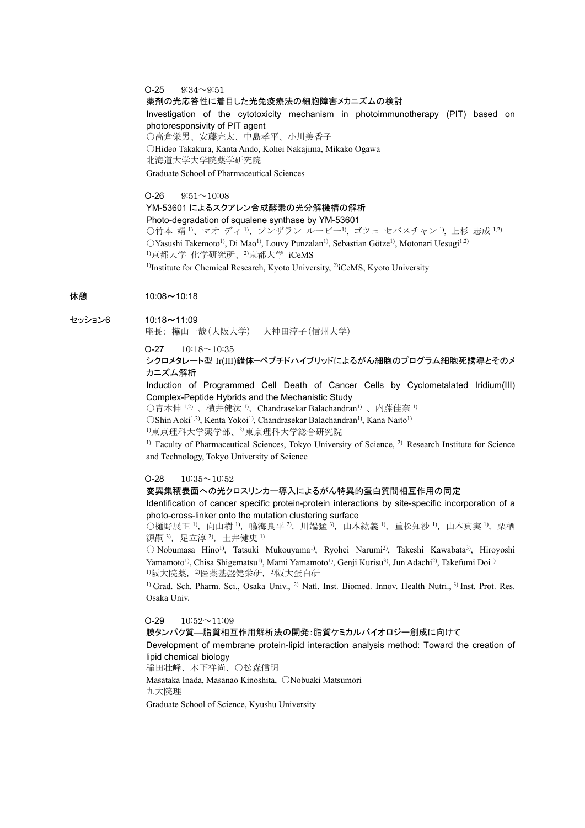# $O-25$   $9:34 \sim 9:51$ 薬剤の光応答性に着目した光免疫療法の細胞障害メカニズムの検討 Investigation of the cytotoxicity mechanism in photoimmunotherapy (PIT) based on photoresponsivity of PIT agent ○高倉栄男、安藤完太、中島孝平、小川美香子 ○Hideo Takakura, Kanta Ando, Kohei Nakajima, Mikako Ogawa 北海道大学大学院薬学研究院 Graduate School of Pharmaceutical Sciences

 $O-26$   $9:51 \sim 10:08$ YM-53601 によるスクアレン合成酵素の光分解機構の解析 Photo-degradation of squalene synthase by YM-53601 ○竹本 靖 <sup>1</sup>、マオ ディ <sup>1)</sup>、プンザラン ルービー<sup>1</sup>), ゴツェ セバスチャン <sup>1</sup>), 上杉 志成 <sup>1,2)</sup>  $OY$ asushi Takemoto<sup>1)</sup>, Di Mao<sup>1)</sup>, Louvy Punzalan<sup>1)</sup>, Sebastian Götze<sup>1)</sup>, Motonari Uesugi<sup>1,2)</sup> 1)京都大学 化学研究所、2)京都大学 iCeMS <sup>1)</sup>Institute for Chemical Research, Kyoto University, <sup>2)</sup>iCeMS, Kyoto University

## 休憩 10:08~10:18

セッション6 10:18~11:09

座長: 樺山一哉(大阪大学) 大神田淳子(信州大学)

## $O-27$  10:18 $\sim$ 10:35 シクロメタレート型 Ir(III)錯体—ペプチドハイブリッドによるがん細胞のプログラム細胞死誘導とそのメ カニズム解析

Induction of Programmed Cell Death of Cancer Cells by Cyclometalated Iridium(III) Complex-Peptide Hybrids and the Mechanistic Study

○青木伸 1,2) 、横井健汰 1)、Chandrasekar Balachandran1) 、内藤佳奈 1)

○Shin Aoki1,2), Kenta Yokoi1), Chandrasekar Balachandran1), Kana Naito1)

1)東京理科大学薬学部、2)東京理科大学総合研究院

<sup>1)</sup> Faculty of Pharmaceutical Sciences, Tokyo University of Science, <sup>2)</sup> Research Institute for Science and Technology, Tokyo University of Science

## $O-28$  10:35 $\sim$ 10:52

#### 変異集積表面への光クロスリンカー導入によるがん特異的蛋白質間相互作用の同定

Identification of cancer specific protein-protein interactions by site-specific incorporation of a photo-cross-linker onto the mutation clustering surface

 $\bigcirc$ 樋野展正 <sup>1</sup>), 向山樹 <sup>1</sup>), 鳴海良平 <sup>2</sup>), 川端猛 <sup>3</sup>), 山本紘義 <sup>1</sup>), 重松知沙 <sup>1</sup>), 山本真実 <sup>1</sup>), 栗栖 源嗣 3), 足立淳 2), 土井健史 1)

○ Nobumasa Hino1), Tatsuki Mukouyama1), Ryohei Narumi2), Takeshi Kawabata3), Hiroyoshi Yamamoto<sup>1)</sup>, Chisa Shigematsu<sup>1)</sup>, Mami Yamamoto<sup>1)</sup>, Genji Kurisu<sup>3)</sup>, Jun Adachi<sup>2)</sup>, Takefumi Doi<sup>1)</sup> 1)阪大院薬, 2)医薬基盤健栄研, 3)阪大蛋白研

<sup>1)</sup> Grad. Sch. Pharm. Sci., Osaka Univ., <sup>2)</sup> Natl. Inst. Biomed. Innov. Health Nutri., <sup>3)</sup> Inst. Prot. Res. Osaka Univ.

 $O-29$  10:52 $\sim$ 11:09

膜タンパク質―脂質相互作用解析法の開発:脂質ケミカルバイオロジー創成に向けて

Development of membrane protein-lipid interaction analysis method: Toward the creation of lipid chemical biology

稲田壮峰、木下祥尚、○松森信明

Masataka Inada, Masanao Kinoshita, ○Nobuaki Matsumori

九大院理

Graduate School of Science, Kyushu University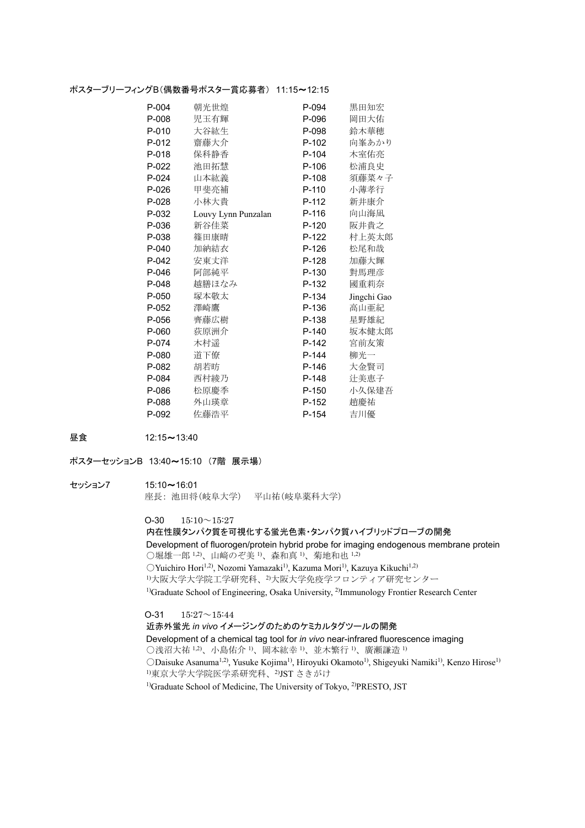## ポスターブリーフィングB(偶数番号ポスター賞応募者) 11:15~12:15

| P-004 | 朝光世煌                | P-094   | 黒田知宏        |
|-------|---------------------|---------|-------------|
| P-008 | 児玉有輝                | P-096   | 岡田大佑        |
| P-010 | 大谷紘生                | P-098   | 鈴木華穂        |
| P-012 | 齋藤大介                | P-102   | 向峯あかり       |
| P-018 | 保科静香                | $P-104$ | 木室佑亮        |
| P-022 | 池田拓慧                | P-106   | 松浦良史        |
| P-024 | 山本紘義                | P-108   | 須藤菜々子       |
| P-026 | 甲斐亮補                | $P-110$ | 小薄孝行        |
| P-028 | 小林大貴                | $P-112$ | 新井康介        |
| P-032 | Louvy Lynn Punzalan | $P-116$ | 向山海凪        |
| P-036 | 新谷佳菜                | P-120   | 阪井貴之        |
| P-038 | 篠田康晴                | P-122   | 村上英太郎       |
| P-040 | 加納結衣                | P-126   | 松尾和哉        |
| P-042 | 安東丈洋                | P-128   | 加藤大輝        |
| P-046 | 阿部純平                | P-130   | 對馬理彦        |
| P-048 | 越膳ほなみ               | P-132   | 國重莉奈        |
| P-050 | 塚本敬太                | P-134   | Jingchi Gao |
| P-052 | 澤崎鷹                 | P-136   | 高山亜紀        |
| P-056 | 齊藤広樹                | P-138   | 星野雄紀        |
| P-060 | 荻原洲介                | P-140   | 坂本健太郎       |
| P-074 | 木村遥                 | P-142   | 宮前友策        |
| P-080 | 道下僚                 | $P-144$ | 柳光一         |
| P-082 | 胡若昉                 | P-146   | 大金賢司        |
| P-084 | 西村綾乃                | P-148   | 辻美恵子        |
| P-086 | 松原慶季                | P-150   | 小久保建吾       |
| P-088 | 外山瑛章                | P-152   | 趙慶祐         |
| P-092 | 佐藤浩平                | P-154   | 吉川優         |

昼食 12:15~13:40

ポスターセッションB 13:40~15:10 (7階 展示場)

#### セッション7 15:10~16:01

座長: 池田将(岐阜大学) 平山祐(岐阜薬科大学)

 $O-30$   $15:10 \sim 15:27$ 

内在性膜タンパク質を可視化する蛍光色素・タンパク質ハイブリッドプローブの開発 Development of fluorogen/protein hybrid probe for imaging endogenous membrane protein ○堀雄一郎 1,2)、山﨑のぞ美 1)、森和真 1)、菊地和也 1,2) ○Yuichiro Hori1,2), Nozomi Yamazaki1), Kazuma Mori1), Kazuya Kikuchi1,2) 1)大阪大学大学院工学研究科、2)大阪大学免疫学フロンティア研究センター <sup>1)</sup>Graduate School of Engineering, Osaka University, <sup>2)</sup>Immunology Frontier Research Center

 $O-31$   $15:27 \sim 15:44$ 近赤外蛍光 *in vivo* イメージングのためのケミカルタグツールの開発 Development of a chemical tag tool for *in vivo* near-infrared fluorescence imaging ○浅沼大祐 1,2)、小島佑介 1)、岡本紘幸 1)、並木繁行 1)、廣瀬謙造 1) ODaisuke Asanuma<sup>1,2)</sup>, Yusuke Kojima<sup>1)</sup>, Hiroyuki Okamoto<sup>1)</sup>, Shigeyuki Namiki<sup>1)</sup>, Kenzo Hirose<sup>1)</sup> 1)東京大学大学院医学系研究科、2)JST さきがけ <sup>1)</sup>Graduate School of Medicine, The University of Tokyo, <sup>2)</sup>PRESTO, JST